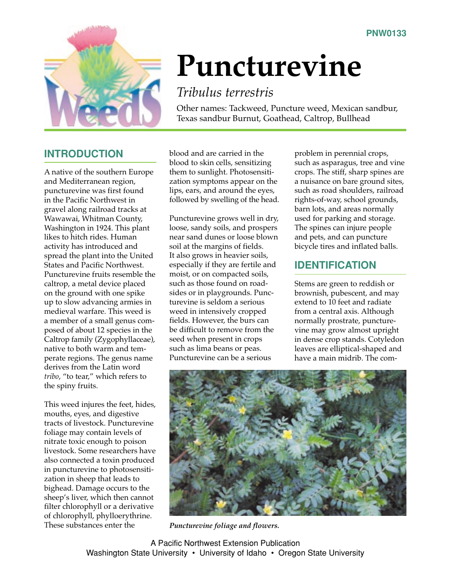

# **Puncturevine**

## *Tribulus terrestris*

Other names: Tackweed, Puncture weed, Mexican sandbur, Texas sandbur Burnut, Goathead, Caltrop, Bullhead

### **INTRODUCTION**

A native of the southern Europe and Mediterranean region, puncturevine was first found in the Pacific Northwest in gravel along railroad tracks at Wawawai, Whitman County, Washington in 1924. This plant likes to hitch rides. Human activity has introduced and spread the plant into the United States and Pacific Northwest. Puncturevine fruits resemble the caltrop, a metal device placed on the ground with one spike up to slow advancing armies in medieval warfare. This weed is a member of a small genus composed of about 12 species in the Caltrop family (Zygophyllaceae), native to both warm and temperate regions. The genus name derives from the Latin word *tribo*, "to tear," which refers to the spiny fruits.

This weed injures the feet, hides, mouths, eyes, and digestive tracts of livestock. Puncturevine foliage may contain levels of nitrate toxic enough to poison livestock. Some researchers have also connected a toxin produced in puncturevine to photosensitization in sheep that leads to bighead. Damage occurs to the sheep's liver, which then cannot filter chlorophyll or a derivative of chlorophyll, phylloerythrine. These substances enter the

blood and are carried in the blood to skin cells, sensitizing them to sunlight. Photosensitization symptoms appear on the lips, ears, and around the eyes, followed by swelling of the head.

Puncturevine grows well in dry, loose, sandy soils, and prospers near sand dunes or loose blown soil at the margins of fields. It also grows in heavier soils, especially if they are fertile and moist, or on compacted soils, such as those found on roadsides or in playgrounds. Puncturevine is seldom a serious weed in intensively cropped fields. However, the burs can be difficult to remove from the seed when present in crops such as lima beans or peas. Puncturevine can be a serious

problem in perennial crops, such as asparagus, tree and vine crops. The stiff, sharp spines are a nuisance on bare ground sites, such as road shoulders, railroad rights-of-way, school grounds, barn lots, and areas normally used for parking and storage. The spines can injure people and pets, and can puncture bicycle tires and inflated balls.

## **IDENTIFICATION**

Stems are green to reddish or brownish, pubescent, and may extend to 10 feet and radiate from a central axis. Although normally prostrate, puncturevine may grow almost upright in dense crop stands. Cotyledon leaves are elliptical-shaped and have a main midrib. The com-



*Puncturevine foliage and flowers.*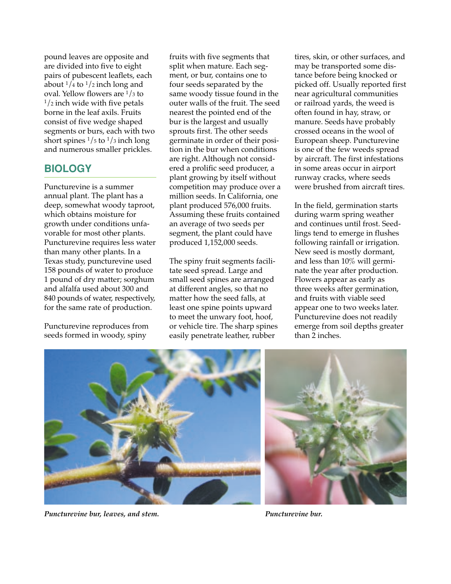pound leaves are opposite and are divided into five to eight pairs of pubescent leaflets, each about  $\frac{1}{4}$  to  $\frac{1}{2}$  inch long and oval. Yellow flowers are  $\frac{1}{3}$  to  $1/2$  inch wide with five petals borne in the leaf axils. Fruits consist of five wedge shaped segments or burs, each with two short spines  $\frac{1}{5}$  to  $\frac{1}{3}$  inch long and numerous smaller prickles.

#### **BIOLOGY**

Puncturevine is a summer annual plant. The plant has a deep, somewhat woody taproot, which obtains moisture for growth under conditions unfavorable for most other plants. Puncturevine requires less water than many other plants. In a Texas study, puncturevine used 158 pounds of water to produce 1 pound of dry matter; sorghum and alfalfa used about 300 and 840 pounds of water, respectively, for the same rate of production.

Puncturevine reproduces from seeds formed in woody, spiny

fruits with five segments that split when mature. Each segment, or bur, contains one to four seeds separated by the same woody tissue found in the outer walls of the fruit. The seed nearest the pointed end of the bur is the largest and usually sprouts first. The other seeds germinate in order of their position in the bur when conditions are right. Although not considered a prolific seed producer, a plant growing by itself without competition may produce over a million seeds. In California, one plant produced 576,000 fruits. Assuming these fruits contained an average of two seeds per segment, the plant could have produced 1,152,000 seeds.

The spiny fruit segments facilitate seed spread. Large and small seed spines are arranged at different angles, so that no matter how the seed falls, at least one spine points upward to meet the unwary foot, hoof, or vehicle tire. The sharp spines easily penetrate leather, rubber

tires, skin, or other surfaces, and may be transported some distance before being knocked or picked off. Usually reported first near agricultural communities or railroad yards, the weed is often found in hay, straw, or manure. Seeds have probably crossed oceans in the wool of European sheep. Puncturevine is one of the few weeds spread by aircraft. The first infestations in some areas occur in airport runway cracks, where seeds were brushed from aircraft tires.

In the field, germination starts during warm spring weather and continues until frost. Seedlings tend to emerge in flushes following rainfall or irrigation. New seed is mostly dormant, and less than 10% will germinate the year after production. Flowers appear as early as three weeks after germination, and fruits with viable seed appear one to two weeks later. Puncturevine does not readily emerge from soil depths greater than 2 inches.



*Puncturevine bur, leaves, and stem.*



*Puncturevine bur.*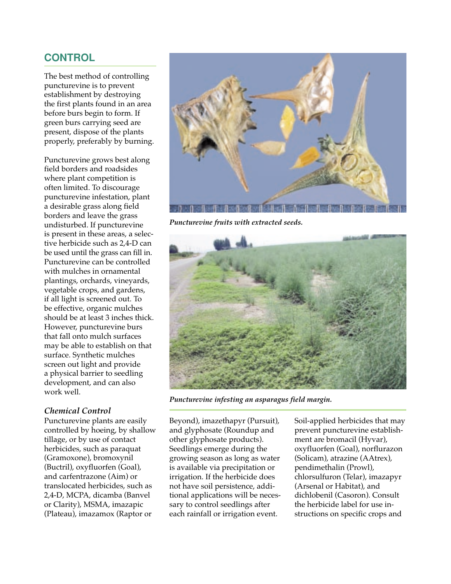#### **CONTROL**

The best method of controlling puncturevine is to prevent establishment by destroying the first plants found in an area before burs begin to form. If green burs carrying seed are present, dispose of the plants properly, preferably by burning.

Puncturevine grows best along field borders and roadsides where plant competition is often limited. To discourage puncturevine infestation, plant a desirable grass along field borders and leave the grass undisturbed. If puncturevine is present in these areas, a selective herbicide such as 2,4-D can be used until the grass can fill in. Puncturevine can be controlled with mulches in ornamental plantings, orchards, vineyards, vegetable crops, and gardens, if all light is screened out. To be effective, organic mulches should be at least 3 inches thick. However, puncturevine burs that fall onto mulch surfaces may be able to establish on that surface. Synthetic mulches screen out light and provide a physical barrier to seedling development, and can also work well.

#### *Chemical Control*

Puncturevine plants are easily controlled by hoeing, by shallow tillage, or by use of contact herbicides, such as paraquat (Gramoxone), bromoxynil (Buctril), oxyfluorfen (Goal), and carfentrazone (Aim) or translocated herbicides, such as 2,4-D, MCPA, dicamba (Banvel or Clarity), MSMA, imazapic (Plateau), imazamox (Raptor or



*Puncturevine fruits with extracted seeds.*



*Puncturevine infesting an asparagus field margin.*

Beyond), imazethapyr (Pursuit), and glyphosate (Roundup and other glyphosate products). Seedlings emerge during the growing season as long as water is available via precipitation or irrigation. If the herbicide does not have soil persistence, additional applications will be necessary to control seedlings after each rainfall or irrigation event.

Soil-applied herbicides that may prevent puncturevine establishment are bromacil (Hyvar), oxyfluorfen (Goal), norflurazon (Solicam), atrazine (AAtrex), pendimethalin (Prowl), chlorsulfuron (Telar), imazapyr (Arsenal or Habitat), and dichlobenil (Casoron). Consult the herbicide label for use instructions on specific crops and